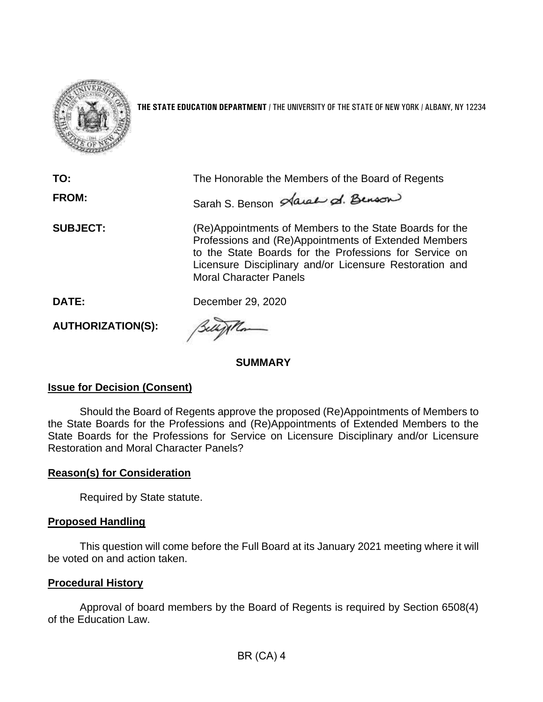

**THE STATE EDUCATION DEPARTMENT** / THE UNIVERSITY OF THE STATE OF NEW YORK / ALBANY, NY 12234

| TO:<br><b>FROM:</b>      | The Honorable the Members of the Board of Regents<br>Sarah S. Benson Sarah & Benson                                                                                                                                                                                   |
|--------------------------|-----------------------------------------------------------------------------------------------------------------------------------------------------------------------------------------------------------------------------------------------------------------------|
| <b>SUBJECT:</b>          | (Re)Appointments of Members to the State Boards for the<br>Professions and (Re)Appointments of Extended Members<br>to the State Boards for the Professions for Service on<br>Licensure Disciplinary and/or Licensure Restoration and<br><b>Moral Character Panels</b> |
| DATE:                    | December 29, 2020                                                                                                                                                                                                                                                     |
| <b>AUTHORIZATION(S):</b> |                                                                                                                                                                                                                                                                       |

**SUMMARY** 

## **Issue for Decision (Consent)**

Should the Board of Regents approve the proposed (Re)Appointments of Members to the State Boards for the Professions and (Re)Appointments of Extended Members to the State Boards for the Professions for Service on Licensure Disciplinary and/or Licensure Restoration and Moral Character Panels?

## **Reason(s) for Consideration**

Required by State statute.

## **Proposed Handling**

This question will come before the Full Board at its January 2021 meeting where it will be voted on and action taken.

## **Procedural History**

 Approval of board members by the Board of Regents is required by Section 6508(4) of the Education Law.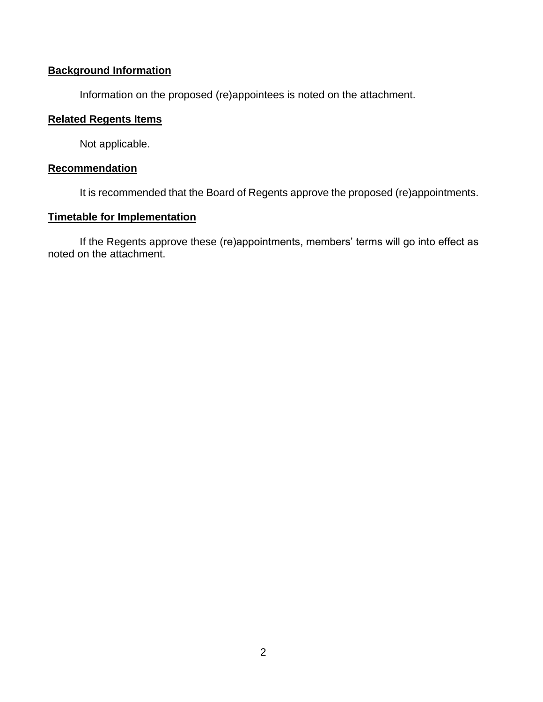# **Background Information**

Information on the proposed (re)appointees is noted on the attachment.

# **Related Regents Items**

Not applicable.

#### **Recommendation**

It is recommended that the Board of Regents approve the proposed (re)appointments.

# **Timetable for Implementation**

If the Regents approve these (re)appointments, members' terms will go into effect as noted on the attachment.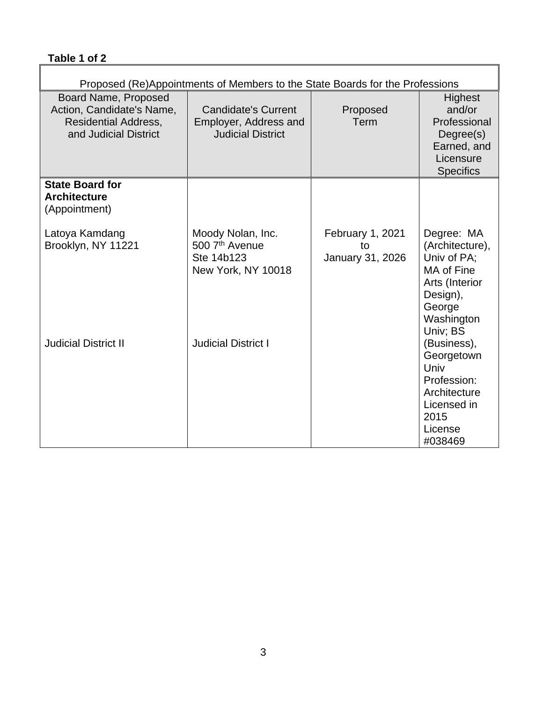# **Table 1 of 2**

| Proposed (Re)Appointments of Members to the State Boards for the Professions                              |                                                                                     |                                            |                                                                                                                              |
|-----------------------------------------------------------------------------------------------------------|-------------------------------------------------------------------------------------|--------------------------------------------|------------------------------------------------------------------------------------------------------------------------------|
| Board Name, Proposed<br>Action, Candidate's Name,<br><b>Residential Address,</b><br>and Judicial District | <b>Candidate's Current</b><br>Employer, Address and<br><b>Judicial District</b>     | Proposed<br>Term                           | <b>Highest</b><br>and/or<br>Professional<br>Degree(s)<br>Earned, and<br>Licensure<br><b>Specifics</b>                        |
| <b>State Board for</b><br><b>Architecture</b><br>(Appointment)                                            |                                                                                     |                                            |                                                                                                                              |
| Latoya Kamdang<br>Brooklyn, NY 11221                                                                      | Moody Nolan, Inc.<br>500 7 <sup>th</sup> Avenue<br>Ste 14b123<br>New York, NY 10018 | February 1, 2021<br>to<br>January 31, 2026 | Degree: MA<br>(Architecture),<br>Univ of PA;<br>MA of Fine<br>Arts (Interior<br>Design),<br>George<br>Washington<br>Univ; BS |
| <b>Judicial District II</b>                                                                               | <b>Judicial District I</b>                                                          |                                            | (Business),<br>Georgetown<br>Univ<br>Profession:<br>Architecture<br>Licensed in<br>2015<br>License<br>#038469                |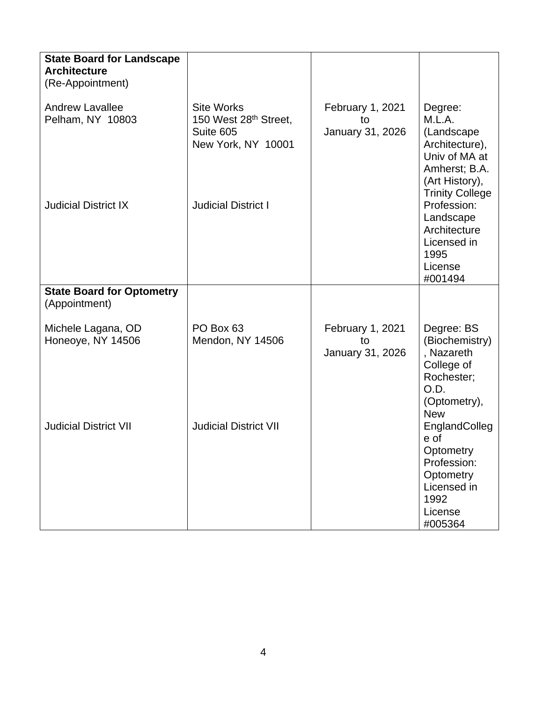| <b>State Board for Landscape</b><br><b>Architecture</b> |                                                                                           |                                                   |                                                                                                                                 |
|---------------------------------------------------------|-------------------------------------------------------------------------------------------|---------------------------------------------------|---------------------------------------------------------------------------------------------------------------------------------|
| (Re-Appointment)                                        |                                                                                           |                                                   |                                                                                                                                 |
| <b>Andrew Lavallee</b><br>Pelham, NY 10803              | <b>Site Works</b><br>150 West 28 <sup>th</sup> Street,<br>Suite 605<br>New York, NY 10001 | February 1, 2021<br>tΩ<br>January 31, 2026        | Degree:<br>M.L.A.<br>(Landscape<br>Architecture),<br>Univ of MA at<br>Amherst; B.A.<br>(Art History),<br><b>Trinity College</b> |
| <b>Judicial District IX</b>                             | <b>Judicial District I</b>                                                                |                                                   | Profession:<br>Landscape<br>Architecture<br>Licensed in<br>1995<br>License<br>#001494                                           |
| <b>State Board for Optometry</b><br>(Appointment)       |                                                                                           |                                                   |                                                                                                                                 |
| Michele Lagana, OD<br>Honeoye, NY 14506                 | PO Box 63<br>Mendon, NY 14506                                                             | <b>February 1, 2021</b><br>to<br>January 31, 2026 | Degree: BS<br>(Biochemistry)<br>, Nazareth<br>College of<br>Rochester;<br>O.D.<br>(Optometry),<br><b>New</b>                    |
| <b>Judicial District VII</b>                            | <b>Judicial District VII</b>                                                              |                                                   | EnglandColleg<br>e of<br>Optometry<br>Profession:<br>Optometry<br>Licensed in<br>1992<br>License<br>#005364                     |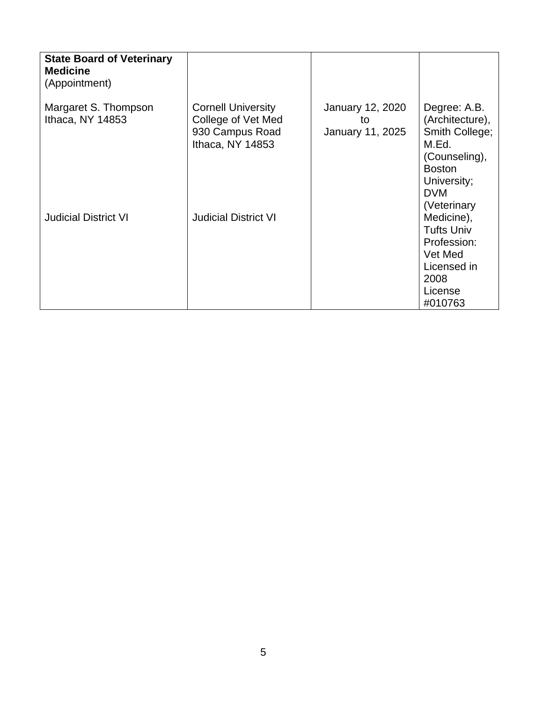| <b>State Board of Veterinary</b><br><b>Medicine</b><br>(Appointment) |                                                                                        |                                            |                                                                                                                                          |
|----------------------------------------------------------------------|----------------------------------------------------------------------------------------|--------------------------------------------|------------------------------------------------------------------------------------------------------------------------------------------|
| Margaret S. Thompson<br>Ithaca, NY 14853                             | <b>Cornell University</b><br>College of Vet Med<br>930 Campus Road<br>Ithaca, NY 14853 | January 12, 2020<br>to<br>January 11, 2025 | Degree: A.B.<br>(Architecture),<br>Smith College;<br>M.Ed.<br>(Counseling),<br><b>Boston</b><br>University;<br><b>DVM</b><br>(Veterinary |
| <b>Judicial District VI</b>                                          | <b>Judicial District VI</b>                                                            |                                            | Medicine),<br><b>Tufts Univ</b><br>Profession:<br>Vet Med<br>Licensed in<br>2008<br>License<br>#010763                                   |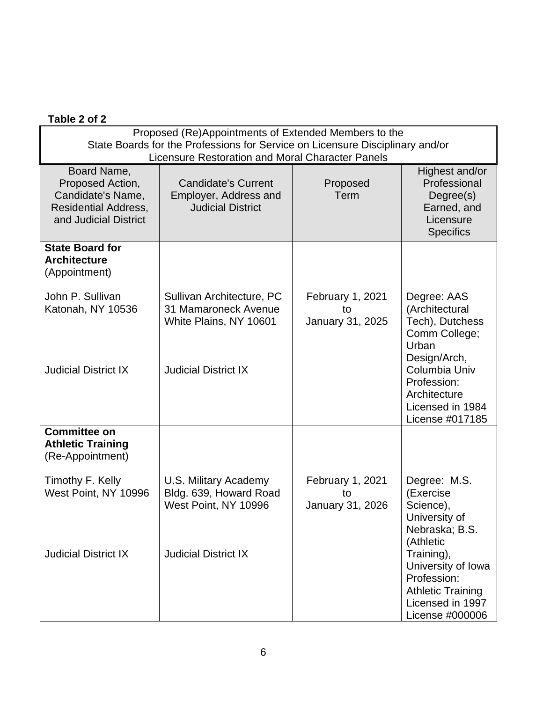# **Table 2 of 2**

| Proposed (Re)Appointments of Extended Members to the<br>State Boards for the Professions for Service on Licensure Disciplinary and/or<br>Licensure Restoration and Moral Character Panels |                                                                                 |                                                   |                                                                                                                    |
|-------------------------------------------------------------------------------------------------------------------------------------------------------------------------------------------|---------------------------------------------------------------------------------|---------------------------------------------------|--------------------------------------------------------------------------------------------------------------------|
| Board Name,<br>Proposed Action,<br>Candidate's Name,<br><b>Residential Address,</b><br>and Judicial District                                                                              | <b>Candidate's Current</b><br>Employer, Address and<br><b>Judicial District</b> | Proposed<br>Term                                  | Highest and/or<br>Professional<br>Degree(s)<br>Earned, and<br>Licensure<br><b>Specifics</b>                        |
| <b>State Board for</b><br><b>Architecture</b><br>(Appointment)                                                                                                                            |                                                                                 |                                                   |                                                                                                                    |
| John P. Sullivan<br>Katonah, NY 10536                                                                                                                                                     | Sullivan Architecture, PC<br>31 Mamaroneck Avenue<br>White Plains, NY 10601     | <b>February 1, 2021</b><br>to<br>January 31, 2025 | Degree: AAS<br>(Architectural<br>Tech), Dutchess<br>Comm College;<br>Urban<br>Design/Arch,                         |
| <b>Judicial District IX</b>                                                                                                                                                               | <b>Judicial District IX</b>                                                     |                                                   | Columbia Univ<br>Profession:<br>Architecture<br>Licensed in 1984<br>License #017185                                |
| <b>Committee on</b><br><b>Athletic Training</b><br>(Re-Appointment)                                                                                                                       |                                                                                 |                                                   |                                                                                                                    |
| Timothy F. Kelly<br>West Point, NY 10996                                                                                                                                                  | U.S. Military Academy<br>Bldg. 639, Howard Road<br>West Point, NY 10996         | February 1, 2021<br>to<br>January 31, 2026        | Degree: M.S.<br>(Exercise<br>Science),<br>University of<br>Nebraska; B.S.<br>(Athletic                             |
| <b>Judicial District IX</b>                                                                                                                                                               | <b>Judicial District IX</b>                                                     |                                                   | Training),<br>University of Iowa<br>Profession:<br><b>Athletic Training</b><br>Licensed in 1997<br>License #000006 |